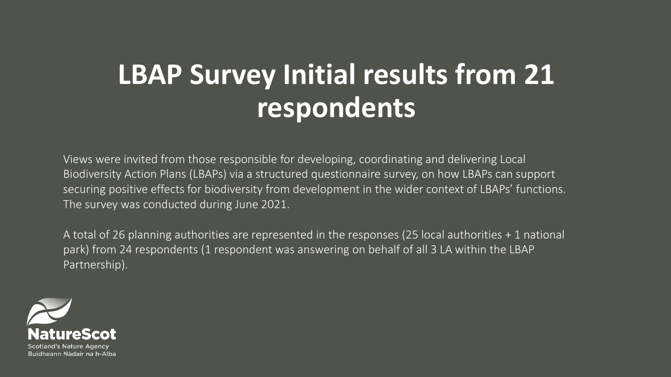# **LBAP Survey Initial results from 21 respondents**

Views were invited from those responsible for developing, coordinating and delivering Local Biodiversity Action Plans (LBAPs) via a structured questionnaire survey, on how LBAPs can support securing positive effects for biodiversity from development in the wider context of LBAPs' functions. The survey was conducted during June 2021.

A total of 26 planning authorities are represented in the responses (25 local authorities + 1 national park) from 24 respondents (1 respondent was answering on behalf of all 3 LA within the LBAP Partnership).

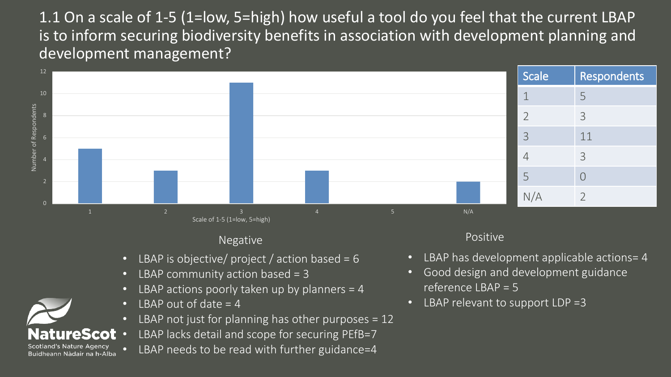1.1 On a scale of 1-5 (1=low, 5=high) how useful a tool do you feel that the current LBAP is to inform securing biodiversity benefits in association with development planning and development management?



### Negative **Positive** Positive

- LBAP is objective/ project / action based =  $6$
- LBAP community action based = 3
- LBAP actions poorly taken up by planners = 4
- LBAP out of date  $= 4$
- LBAP not just for planning has other purposes  $= 12$
- LBAP lacks detail and scope for securing PEfB=7
- LBAP needs to be read with further guidance=4

- LBAP has development applicable actions= 4
- Good design and development guidance reference LBAP = 5
- LBAP relevant to support  $LDP = 3$

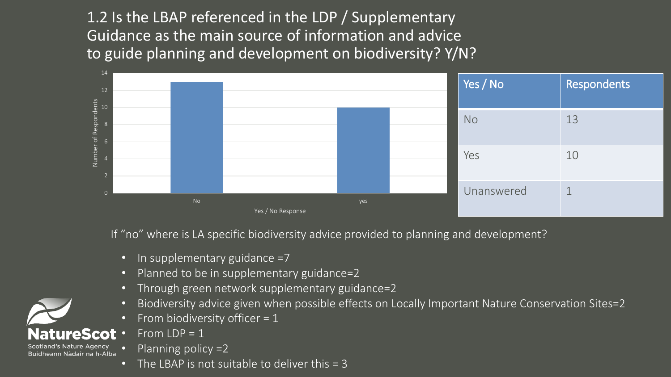1.2 Is the LBAP referenced in the LDP / Supplementary Guidance as the main source of information and advice to guide planning and development on biodiversity? Y/N?



If "no" where is LA specific biodiversity advice provided to planning and development?

- In supplementary guidance =7
- Planned to be in supplementary guidance=2
- Through green network supplementary guidance=2
- Biodiversity advice given when possible effects on Locally Important Nature Conservation Sites=2
- From biodiversity officer =  $1$
- From  $LDP = 1$

Buidheann Nàdair na h-Alba

- Planning policy =2
- The LBAP is not suitable to deliver this  $=$  3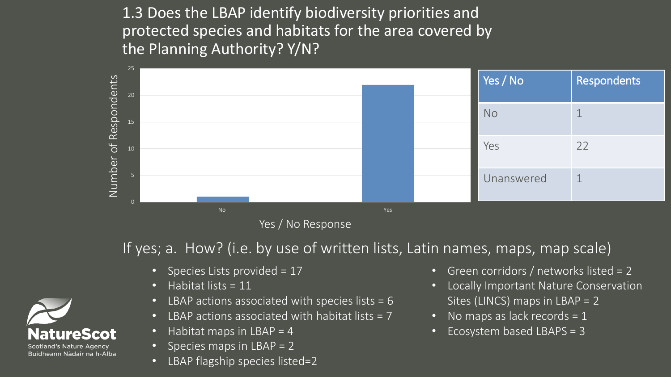1.3 Does the LBAP identify biodiversity priorities and protected species and habitats for the area covered by the Planning Authority? Y/N?



Yes / No Response

If yes; a. How? (i.e. by use of written lists, Latin names, maps, map scale)

- Species Lists provided = 17
- Habitat lists = 11
- LBAP actions associated with species lists  $= 6$
- LBAP actions associated with habitat lists  $= 7$
- Habitat maps in LBAP =  $4$
- Species maps in LBAP = 2
- LBAP flagship species listed=2
- Green corridors / networks listed = 2
- Locally Important Nature Conservation Sites (LINCS) maps in LBAP = 2
- No maps as lack records  $= 1$
- Ecosystem based LBAPS = 3

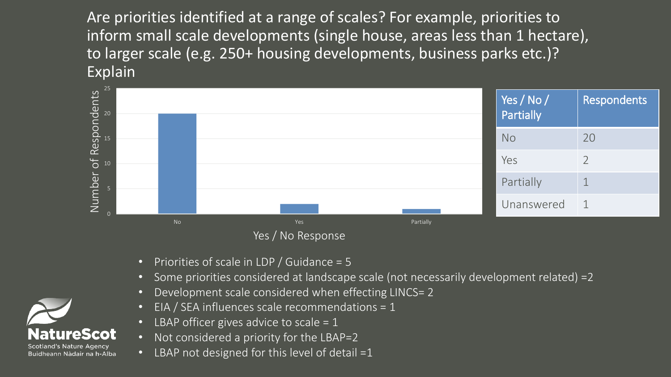Are priorities identified at a range of scales? For example, priorities to inform small scale developments (single house, areas less than 1 hectare), to larger scale (e.g. 250+ housing developments, business parks etc.)? Explain



- Yes / No Response
- Priorities of scale in LDP / Guidance = 5
- Some priorities considered at landscape scale (not necessarily development related) =2
- Development scale considered when effecting LINCS= 2
- EIA / SEA influences scale recommendations =  $1$
- LBAP officer gives advice to scale =  $1$
- Not considered a priority for the LBAP=2
- LBAP not designed for this level of detail =1

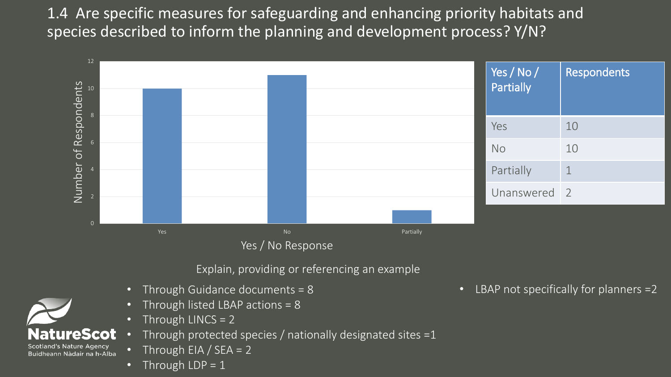1.4 Are specific measures for safeguarding and enhancing priority habitats and species described to inform the planning and development process? Y/N?



Yes / No Response

Explain, providing or referencing an example.

- Through Guidance documents = 8
- Through listed LBAP actions = 8
- Through LINCS = 2
- Through protected species / nationally designated sites  $=1$
- Through EIA / SEA =  $2$
- Through  $LDP = 1$

**TITEScot** 

and's Nature Agency Buidheann Nàdair na h-Alba • LBAP not specifically for planners =2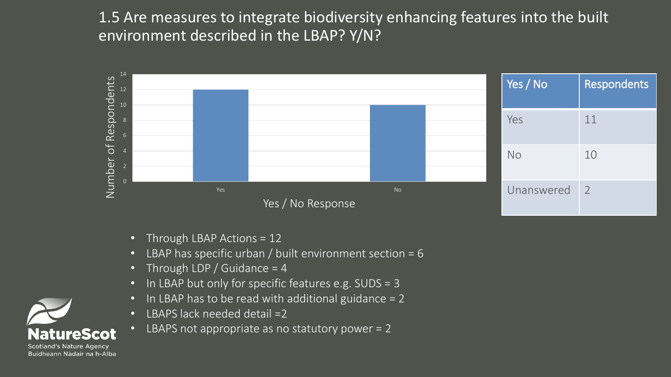1.5 Are measures to integrate biodiversity enhancing features into the built environment described in the LBAP? Y/N?



- Through LBAP Actions = 12
- LBAP has specific urban / built environment section = 6
- Through LDP / Guidance = 4
- In LBAP but only for specific features e.g. SUDS = 3
- In LBAP has to be read with additional guidance = 2
- LBAPS lack needed detail =2
- LBAPS not appropriate as no statutory power  $= 2$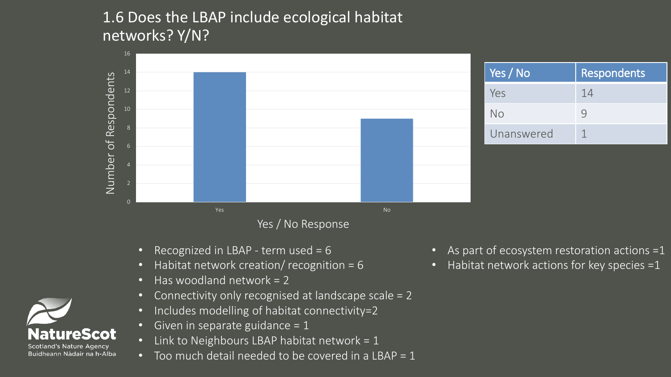# 1.6 Does the LBAP include ecological habitat networks? Y/N?



- Recognized in LBAP term used = 6
- Habitat network creation/ recognition = 6
- Has woodland network = 2
- Connectivity only recognised at landscape scale = 2
- Includes modelling of habitat connectivity=2
- Given in separate guidance = 1
- Link to Neighbours LBAP habitat network =  $1$
- Too much detail needed to be covered in a LBAP = 1
- As part of ecosystem restoration actions =1
- Habitat network actions for key species =1

ureScot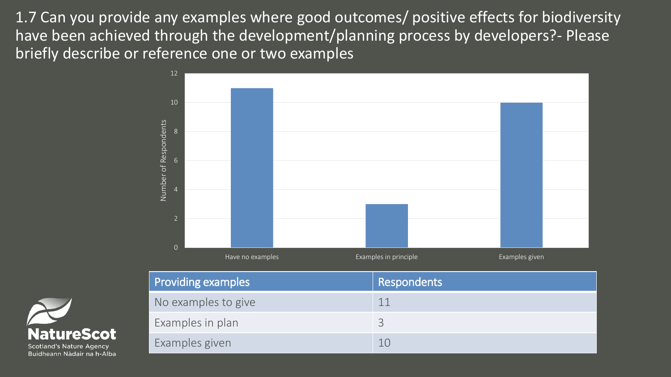1.7 Can you provide any examples where good outcomes/ positive effects for biodiversity have been achieved through the development/planning process by developers?- Please briefly describe or reference one or two examples





Buidheann Nàdair na h-Alba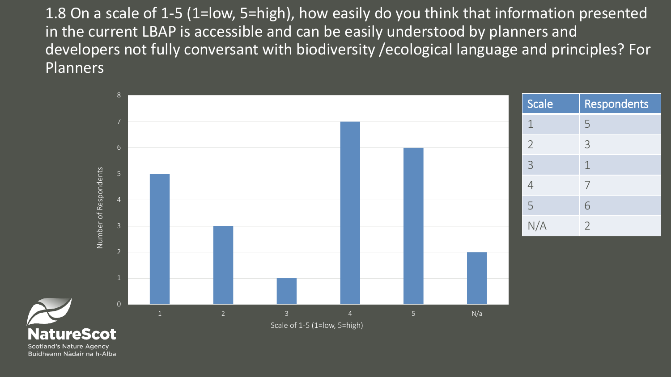1.8 On a scale of 1-5 (1=low, 5=high), how easily do you think that information presented in the current LBAP is accessible and can be easily understood by planners and developers not fully conversant with biodiversity /ecological language and principles? For **Planners** 

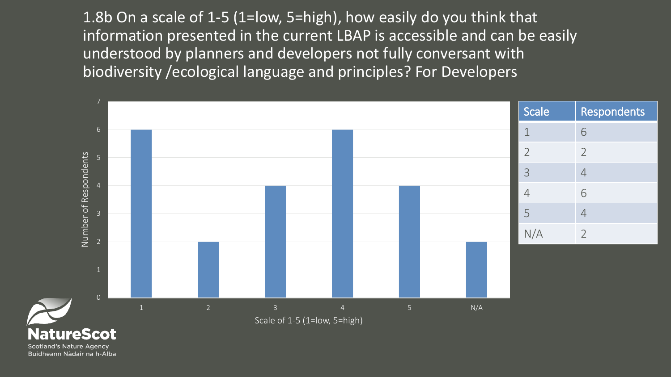1.8b On a scale of 1-5 (1=low, 5=high), how easily do you think that information presented in the current LBAP is accessible and can be easily understood by planners and developers not fully conversant with biodiversity /ecological language and principles? For Developers

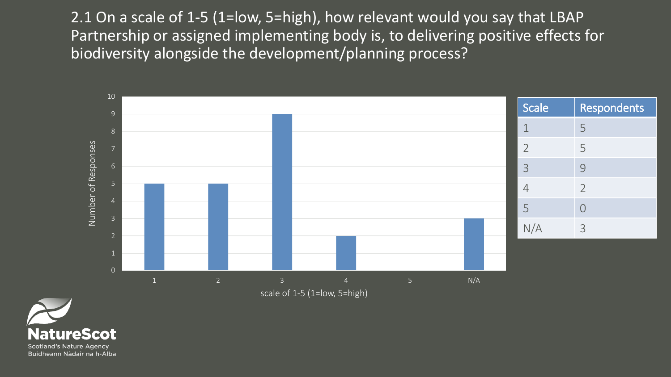2.1 On a scale of 1-5 (1=low, 5=high), how relevant would you say that LBAP Partnership or assigned implementing body is, to delivering positive effects for biodiversity alongside the development/planning process?



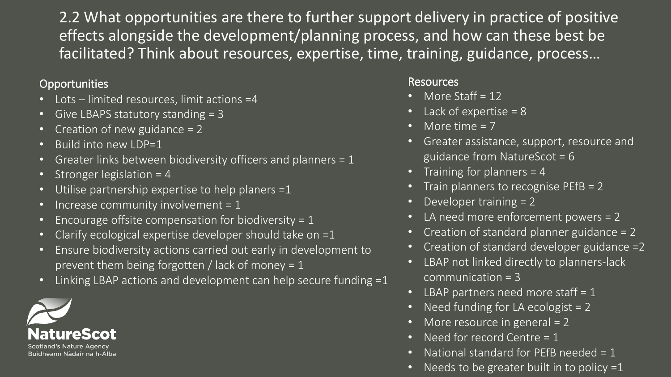2.2 What opportunities are there to further support delivery in practice of positive effects alongside the development/planning process, and how can these best be facilitated? Think about resources, expertise, time, training, guidance, process…

### Opportunities **Resources** Resources

- Lots limited resources, limit actions =4
- Give LBAPS statutory standing = 3
- Creation of new guidance = 2
- Build into new LDP=1
- Greater links between biodiversity officers and planners  $= 1$
- Stronger legislation = 4
- Utilise partnership expertise to help planers  $=1$
- Increase community involvement = 1
- Encourage offsite compensation for biodiversity =  $1$
- Clarify ecological expertise developer should take on =1
- Ensure biodiversity actions carried out early in development to prevent them being forgotten / lack of money =  $1$
- Linking LBAP actions and development can help secure funding =1



- More Staff  $= 12$
- Lack of expertise  $= 8$
- More time  $= 7$
- Greater assistance, support, resource and guidance from NatureScot = 6
- Training for planners  $=$  4
- Train planners to recognise PEfB = 2
- Developer training = 2
- LA need more enforcement powers = 2
- Creation of standard planner guidance = 2
- Creation of standard developer guidance  $=2$
- LBAP not linked directly to planners-lack communication = 3
- LBAP partners need more staff  $= 1$
- Need funding for LA ecologist  $= 2$
- More resource in general  $= 2$
- Need for record Centre = 1
- National standard for PEfB needed =  $1$
- Needs to be greater built in to policy  $=1$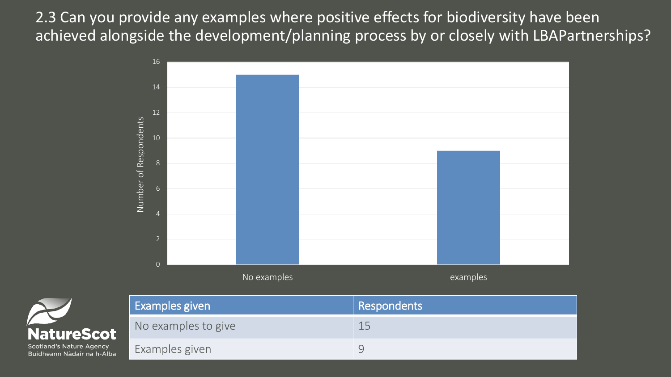2.3 Can you provide any examples where positive effects for biodiversity have been achieved alongside the development/planning process by or closely with LBAPartnerships?





| icotland's Nature Agency |                            |  |
|--------------------------|----------------------------|--|
|                          | 3uidheann Nàdair na h-Alba |  |

| Examples given      | Respondents |
|---------------------|-------------|
| No examples to give | 15          |
| Examples given      |             |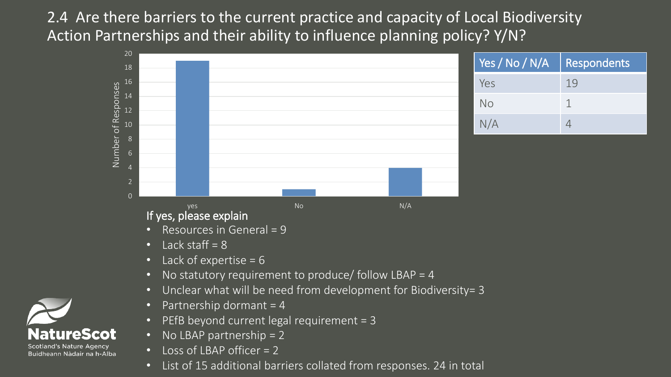2.4 Are there barriers to the current practice and capacity of Local Biodiversity Action Partnerships and their ability to influence planning policy? Y/N?



• List of 15 additional barriers collated from responses. 24 in total

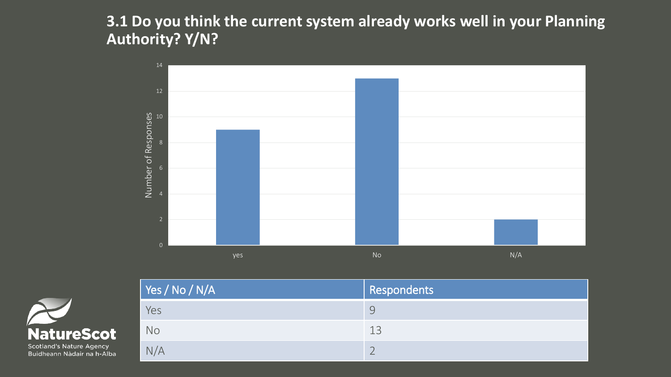**3.1 Do you think the current system already works well in your Planning Authority? Y/N?**





| $\vert$ Yes / No / N/A | <b>Respondents</b> |
|------------------------|--------------------|
| Yes                    | Ч                  |
| No                     | 13                 |
| N/A                    |                    |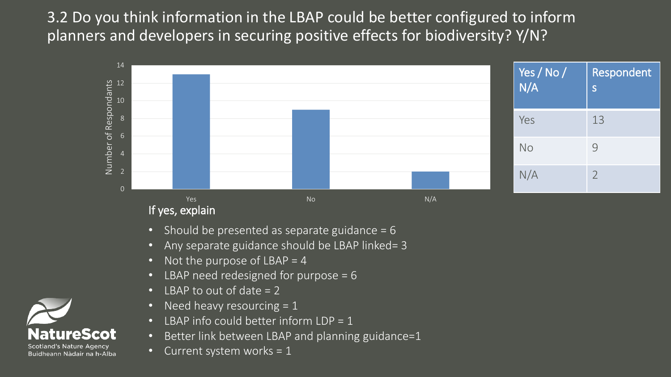3.2 Do you think information in the LBAP could be better configured to inform planners and developers in securing positive effects for biodiversity? Y/N?



- Should be presented as separate guidance  $= 6$
- Any separate guidance should be LBAP linked= 3
- Not the purpose of  $LBAP = 4$
- LBAP need redesigned for purpose = 6
- LBAP to out of date = 2
- Need heavy resourcing  $= 1$
- LBAP info could better inform LDP = 1
- Better link between LBAP and planning guidance=1
- Current system works =  $1$

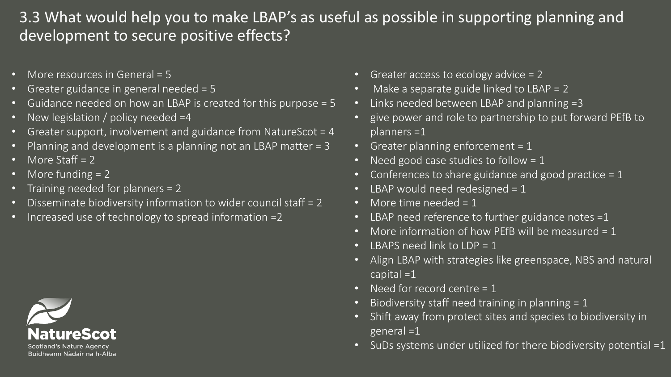# 3.3 What would help you to make LBAP's as useful as possible in supporting planning and development to secure positive effects?

- More resources in General = 5
- Greater guidance in general needed = 5
- Guidance needed on how an LBAP is created for this purpose = 5
- New legislation / policy needed =4
- Greater support, involvement and guidance from NatureScot = 4
- Planning and development is a planning not an LBAP matter = 3
- More Staff  $= 2$
- More funding = 2
- Training needed for planners = 2
- Disseminate biodiversity information to wider council staff = 2
- Increased use of technology to spread information  $=2$



- Greater access to ecology advice = 2
- $\sqrt{1 2}$  Make a separate guide linked to LBAP = 2
- Links needed between LBAP and planning =3
- give power and role to partnership to put forward PEfB to planners =1
- Greater planning enforcement =  $1$
- Need good case studies to follow =  $1$
- Conferences to share guidance and good practice  $= 1$
- LBAP would need redesigned =  $1$
- More time needed  $= 1$
- LBAP need reference to further guidance notes  $=1$
- More information of how PEfB will be measured  $= 1$
- LBAPS need link to  $LDP = 1$
- Align LBAP with strategies like greenspace, NBS and natural capital  $=1$
- $\sqrt{ }$  Need for record centre = 1
- Biodiversity staff need training in planning  $= 1$
- Shift away from protect sites and species to biodiversity in general =1
- SuDs systems under utilized for there biodiversity potential =1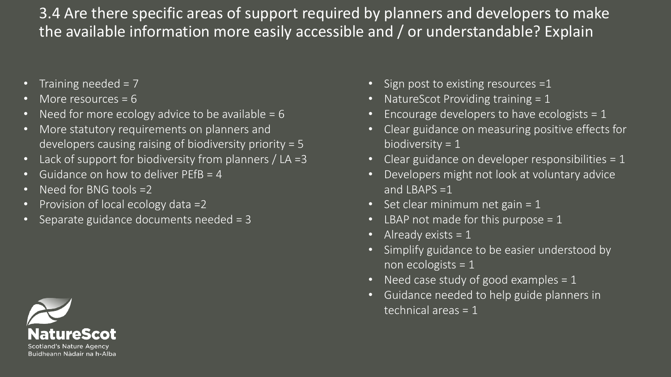3.4 Are there specific areas of support required by planners and developers to make the available information more easily accessible and / or understandable? Explain

- Training needed =  $7$
- More resources = 6
- Need for more ecology advice to be available  $= 6$
- More statutory requirements on planners and developers causing raising of biodiversity priority = 5
- Lack of support for biodiversity from planners / LA =3
- Guidance on how to deliver PEfB = 4
- Need for BNG tools =2
- Provision of local ecology data =2
- Separate guidance documents needed = 3
- Sign post to existing resources =1
- NatureScot Providing training = 1
- Encourage developers to have ecologists = 1
- Clear guidance on measuring positive effects for biodiversity  $= 1$
- Clear guidance on developer responsibilities  $= 1$
- Developers might not look at voluntary advice and LBAPS  $=1$
- Set clear minimum net gain =  $1$
- LBAP not made for this purpose  $= 1$
- Already exists  $= 1$
- Simplify guidance to be easier understood by non ecologists = 1
- Need case study of good examples  $= 1$
- Guidance needed to help guide planners in technical areas = 1

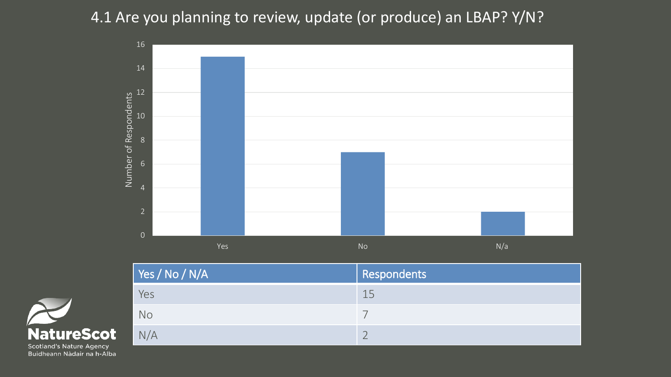# 4.1 Are you planning to review, update (or produce) an LBAP? Y/N?





| $\sqrt{\ }$ Yes / No / N/A | Respondents |
|----------------------------|-------------|
| Yes                        | 15          |
| <b>No</b>                  |             |
| N/A                        |             |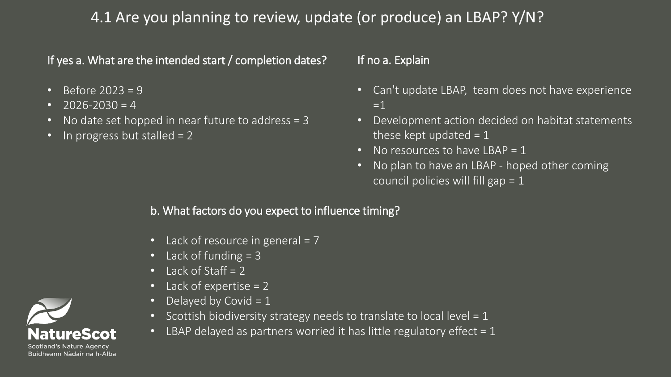### 4.1 Are you planning to review, update (or produce) an LBAP? Y/N?

If yes a. What are the intended start / completion dates?

- Before  $2023 = 9$
- $2026 2030 = 4$
- No date set hopped in near future to address = 3
- In progress but stalled  $= 2$

#### If no a. Explain

- Can't update LBAP, team does not have experience  $=1$
- Development action decided on habitat statements these kept updated  $= 1$
- No resources to have  $LBAP = 1$
- No plan to have an LBAP hoped other coming council policies will fill gap = 1

#### b. What factors do you expect to influence timing?

- Lack of resource in general  $= 7$
- Lack of funding  $= 3$
- Lack of Staff  $= 2$
- Lack of expertise  $= 2$
- Delayed by Covid  $= 1$
- Scottish biodiversity strategy needs to translate to local level =  $1$
- LBAP delayed as partners worried it has little regulatory effect =  $1$

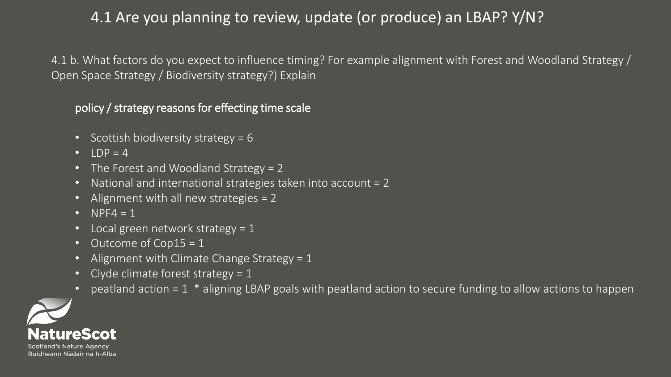# 4.1 Are you planning to review, update (or produce) an LBAP? Y/N?

4.1 b. What factors do you expect to influence timing? For example alignment with Forest and Woodland Strategy / Open Space Strategy / Biodiversity strategy?) Explain

policy / strategy reasons for effecting time scale

- Scottish biodiversity strategy =  $6$
- $\bullet$  LDP = 4
- The Forest and Woodland Strategy = 2
- National and international strategies taken into account = 2
- Alignment with all new strategies = 2
- $NPF4 = 1$
- $\cdot$  Local green network strategy = 1
- Outcome of Cop15 = 1
- Alignment with Climate Change Strategy =  $1$
- Clyde climate forest strategy =  $1$
- peatland action =  $1 *$  aligning LBAP goals with peatland action to secure funding to allow actions to happen